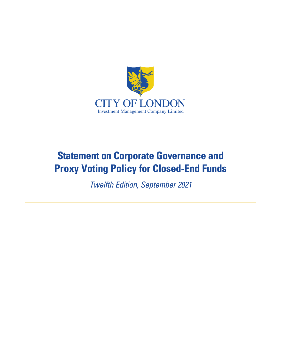

# **Statement on Corporate Governance and Proxy Voting Policy for Closed-End Funds**

Twelfth Edition, September 2021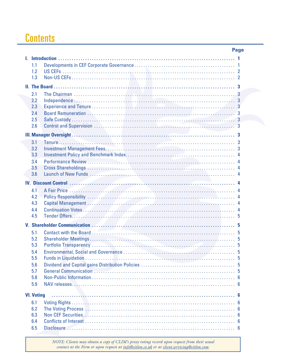# **Contents**

|                                                                                                                                                                                                                                |            |                                                                                                                 | Page |
|--------------------------------------------------------------------------------------------------------------------------------------------------------------------------------------------------------------------------------|------------|-----------------------------------------------------------------------------------------------------------------|------|
| L.                                                                                                                                                                                                                             |            |                                                                                                                 |      |
|                                                                                                                                                                                                                                | 1.1        |                                                                                                                 |      |
|                                                                                                                                                                                                                                | 1.2        |                                                                                                                 |      |
|                                                                                                                                                                                                                                | 1.3        |                                                                                                                 |      |
|                                                                                                                                                                                                                                |            |                                                                                                                 |      |
|                                                                                                                                                                                                                                | 2.1        |                                                                                                                 |      |
|                                                                                                                                                                                                                                | 2.2        |                                                                                                                 |      |
|                                                                                                                                                                                                                                | 2.3        |                                                                                                                 |      |
|                                                                                                                                                                                                                                | 2.4        |                                                                                                                 |      |
|                                                                                                                                                                                                                                | 2.5        |                                                                                                                 |      |
|                                                                                                                                                                                                                                | 2.6        |                                                                                                                 |      |
| III. Manager Oversight National Community of the Community of The Community of The Community of The Community of The Community of The Community of The Community of The Community of The Community of The Community of The Com |            |                                                                                                                 |      |
|                                                                                                                                                                                                                                | 3.1        |                                                                                                                 |      |
|                                                                                                                                                                                                                                | 3.2        |                                                                                                                 |      |
|                                                                                                                                                                                                                                | 3.3        |                                                                                                                 |      |
|                                                                                                                                                                                                                                | 3.4        |                                                                                                                 |      |
|                                                                                                                                                                                                                                | 3.5<br>3.6 |                                                                                                                 |      |
|                                                                                                                                                                                                                                |            |                                                                                                                 |      |
|                                                                                                                                                                                                                                |            |                                                                                                                 |      |
|                                                                                                                                                                                                                                | 4.1        | A Fair Price (1999) 4 (2009) 4 (2009) 4 (2010) 4 (2010) 4 (2010) 4 (2010) 4 (2010) 4 (2010) 4 (2010) 4 (2010) 4 |      |
|                                                                                                                                                                                                                                | 4.2<br>4.3 |                                                                                                                 |      |
|                                                                                                                                                                                                                                | 4.4        | Continuation Votes                                                                                              |      |
|                                                                                                                                                                                                                                | 4.5        |                                                                                                                 |      |
|                                                                                                                                                                                                                                |            |                                                                                                                 |      |
|                                                                                                                                                                                                                                |            |                                                                                                                 |      |
|                                                                                                                                                                                                                                | 5.1<br>5.2 |                                                                                                                 |      |
|                                                                                                                                                                                                                                | 5.3        |                                                                                                                 |      |
|                                                                                                                                                                                                                                | 5.4        |                                                                                                                 |      |
|                                                                                                                                                                                                                                | 5.5        |                                                                                                                 |      |
|                                                                                                                                                                                                                                | 5.6        |                                                                                                                 |      |
|                                                                                                                                                                                                                                | 5.7        |                                                                                                                 |      |
|                                                                                                                                                                                                                                | 5.8        |                                                                                                                 |      |
|                                                                                                                                                                                                                                | 5.9        |                                                                                                                 |      |
| <b>VI. Voting</b>                                                                                                                                                                                                              |            |                                                                                                                 |      |
|                                                                                                                                                                                                                                |            |                                                                                                                 |      |
|                                                                                                                                                                                                                                | 6.1<br>6.2 |                                                                                                                 |      |
|                                                                                                                                                                                                                                | 6.3        |                                                                                                                 |      |
|                                                                                                                                                                                                                                | 6.4        |                                                                                                                 |      |
|                                                                                                                                                                                                                                | 6.5        |                                                                                                                 |      |
|                                                                                                                                                                                                                                |            |                                                                                                                 |      |

*NOTE: Clients may obtain a copy of CLIM's proxy voting record upon request from their usual contact at the Firm or upon request at info@citlon.co.uk or at client.servicing@citlon.com.*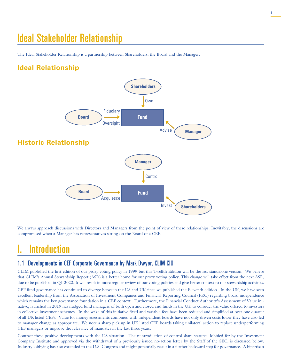# Ideal Stakeholder Relationship

The Ideal Stakeholder Relationship is a partnership between Shareholders, the Board and the Manager.

# **Ideal Relationship**



We always approach discussions with Directors and Managers from the point of view of these relationships. Inevitably, the discussions are compromised when a Manager has representatives sitting on the Board of a CEF.

# **Introduction**

### 1.1 Developments in CEF Corporate Governance by Mark Dwyer, CLIM CIO

CLIM published the first edition of our proxy voting policy in 1999 but this Twelfth Edition will be the last standalone version. We believe that CLIM's Annual Stewardship Report (ASR) is a better home for our proxy voting policy. This change will take effect from the next ASR, due to be published in Q1 2022. It will result in more regular review of our voting policies and give better context to our stewardship activities.

CEF fund governance has continued to diverge between the US and UK since we published the Eleventh edition. In the UK, we have seen excellent leadership from the Association of Investment Companies and Financial Reporting Council (FRC) regarding board independence which remains the key governance foundation in a CEF context. Furthermore, the Financial Conduct Authority's Assessment of Value initiative, launched in 2019 has nudged fund managers of both open and closed end funds in the UK to consider the value offered to investors **Manager** in collective investment schemes. In the wake of this initiative fixed and variable fees have been reduced and simplified at over one quarter of all UK listed CEFs. Value for money assessments combined with independent boards have not only driven costs lower they have also led to manager change as appropriate. We note a sharp pick up in UK listed CEF boards taking unilateral action to replace underperforming CEF managers or improve the relevance of mandates in the last three years.

Contrast these positive developments with the US situation. The reintroduction of control share statutes, lobbied for by the Investment Company Institute and approved via the withdrawal of a previously issued no-action letter by the Staff of the SEC, is discussed below. Industry lobbying has also extended to the U.S. Congress and might potentially result in a further backward step for governance. A bipartisan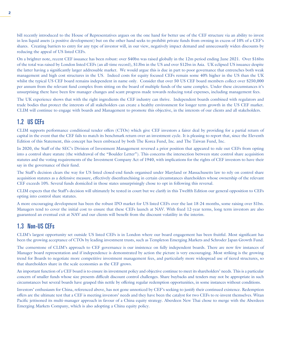bill recently introduced to the House of Representatives argues on the one hand for better use of the CEF structure via an ability to invest in less liquid assets (a positive development) but on the other hand seeks to prohibit private funds from owning in excess of 10% of a CEF's shares. Creating barriers to entry for any type of investor will, in our view, negatively impact demand and unnecessarily widen discounts by reducing the appeal of US listed CEFs.

On a brighter note, recent CEF issuance has been robust: over \$40bn was raised globally in the 12m period ending June 2021. Over \$16bn of the total was raised by London listed CEFs (an all-time record), \$13bn in the US and over \$12bn in Asia. UK eclipsed US issuance despite the latter having a significantly larger addressable market. We would argue this is due in part to poor governance that entrenches both weak management and high cost structures in the US. Indeed costs for equity focused CEFs remain some 40% higher in the US than the UK whilst the typical US CEF board remains independent in name only. Consider that over 50 US CEF board members collect over \$250,000 per annum from the relevant fund complex from sitting on the board of multiple funds of the same complex. Under these circumstances it's unsurprising there have been few manager changes and scant progress made towards reducing total expenses, including management fees.

The UK experience shows that with the right ingredients the CEF industry can thrive. Independent boards combined with regulators and trade bodies that protect the interests of all stakeholders can create a healthy environment for longer term growth in the US CEF market. CLIM will continue to engage with boards and Management to promote this objective, in the interests of our clients and all stakeholders.

### 1.2 US CEFs

CLIM supports performance conditional tender offers (CTOs) which give CEF investors a fairer deal by providing for a partial return of capital in the event that the CEF fails to match its benchmark return over an investment cycle. It is pleasing to report that, since the Eleventh Edition of this Statement, this concept has been embraced by both The Korea Fund, Inc. and The Taiwan Fund, Inc.

In 2020, the Staff of the SEC's Division of Investment Management reversed a prior position that appeared to rule out CEFs from opting into a control share statute (the withdrawal of the "Boulder Letter"). This concerns the intersection between state control share acquisition statutes and the voting requirements of the Investment Company Act of 1940, with implications for the rights of CEF investors to have their say in the governance of their fund.

The Staff's decision clears the way for US listed closed-end funds organised under Maryland or Massachusetts law to rely on control share acquisition statutes as a defensive measure, effectively disenfranchising in certain circumstances shareholders whose ownership of the relevant CEF exceeds 10%. Several funds domiciled in those states unsurprisingly chose to opt in following this reversal.

CLIM expects that the Staff's decision will ultimately be tested in court but we clarify in this Twelfth Edition our general opposition to CEFs opting into control share statutes.

A more encouraging development has been the robust IPO market for US listed CEFs over the last 18-24 months, some raising over \$1bn. Managers tend to cover the initial cost to ensure that these CEFs launch at NAV. With fixed 12-year terms, long term investors are also guaranteed an eventual exit at NAV and our clients will benefit from the discount volatility in the interim.

### 1.3 Non-US CEFs

CLIM's largest opportunity set outside US listed CEFs is in London where our board engagement has been fruitful. Most significant has been the growing acceptance of CTOs by leading investment trusts, such as Templeton Emerging Markets and Schroder Japan Growth Fund.

The cornerstone of CLIM's approach to CEF governance is our insistence on fully independent boards. There are now few instances of Manager board representation and if independence is demonstrated by action the picture is very encouraging. Most striking is the growing trend for Boards to negotiate more competitive investment management fees, and particularly more widespread use of tiered structures, so that shareholders share in the scale economies as the CEF grows.

An important function of a CEF board is to ensure its investment policy and objective continue to meet its shareholders' needs. This is a particular concern of smaller funds whose size presents difficult discount control challenges. Share buybacks and tenders may not be appropriate in such circumstances but several boards have grasped this nettle by offering regular redemption opportunities, in some instances without conditions.

Investors' enthusiasm for China, referenced above, has not gone unnoticed by CEF's seeking to justify their continued existence. Redemption offers are the ultimate test that a CEF is meeting investors' needs and they have been the catalyst for two CEFs to re-invent themselves. Witan Pacific jettisoned its multi-manager approach in favour of a China equity strategy. Aberdeen New Thai chose to merge with the Aberdeen Emerging Markets Company, which is also adopting a China equity policy.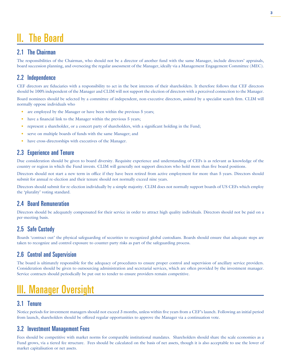# II. The Board

## 2.1 The Chairman

The responsibilities of the Chairman, who should not be a director of another fund with the same Manager, include directors' appraisals, board succession planning, and overseeing the regular assessment of the Manager, ideally via a Management Engagement Committee (MEC).

# 2.2 Independence

CEF directors are fiduciaries with a responsibility to act in the best interests of their shareholders. It therefore follows that CEF directors should be 100% independent of the Manager and CLIM will not support the election of directors with a perceived connection to the Manager.

Board nominees should be selected by a committee of independent, non-executive directors, assisted by a specialist search firm. CLIM will normally oppose individuals who

- are employed by the Manager or have been within the previous 5 years;
- have a financial link to the Manager within the previous 5 years;
- represent a shareholder, or a concert party of shareholders, with a significant holding in the Fund;
- serve on multiple boards of funds with the same Manager; and
- have cross-directorships with executives of the Manager.

# 2.3 Experience and Tenure

Due consideration should be given to board diversity. Requisite experience and understanding of CEFs is as relevant as knowledge of the country or region in which the Fund invests. CLIM will generally not support directors who hold more than five board positions.

Directors should not start a new term in office if they have been retired from active employment for more than 5 years. Directors should submit for annual re-election and their tenure should not normally exceed nine years.

Directors should submit for re-election individually by a simple majority. CLIM does not normally support boards of US CEFs which employ the 'plurality' voting standard.

# 2.4 Board Remuneration

Directors should be adequately compensated for their service in order to attract high quality individuals. Directors should not be paid on a per-meeting basis.

# 2.5 Safe Custody

Boards 'contract out' the physical safeguarding of securities to recognized global custodians. Boards should ensure that adequate steps are taken to recognize and control exposure to counter-party risks as part of the safeguarding process.

# 2.6 Control and Supervision

The board is ultimately responsible for the adequacy of procedures to ensure proper control and supervision of ancillary service providers. Consideration should be given to outsourcing administration and secretarial services, which are often provided by the investment manager. Service contracts should periodically be put out to tender to ensure providers remain competitive.

# III. Manager Oversight

### 3.1 Tenure

Notice periods for investment managers should not exceed 3 months, unless within five years from a CEF's launch. Following an initial period from launch, shareholders should be offered regular opportunities to approve the Manager via a continuation vote.

### 3.2 Investment Management Fees

Fees should be competitive with market norms for comparable institutional mandates. Shareholders should share the scale economies as a Fund grows, via a tiered fee structure. Fees should be calculated on the basis of net assets, though it is also acceptable to use the lower of market capitalisation or net assets.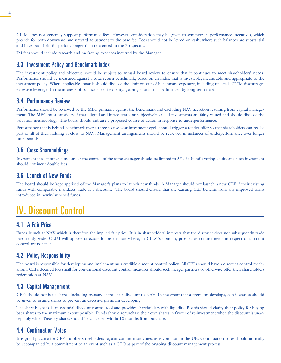CLIM does not generally support performance fees. However, consideration may be given to symmetrical performance incentives, which provide for both downward and upward adjustment to the base fee. Fees should not be levied on cash, where such balances are substantial and have been held for periods longer than referenced in the Prospectus.

IM fees should include research and marketing expenses incurred by the Manager.

### 3.3 Investment Policy and Benchmark Index

The investment policy and objective should be subject to annual board review to ensure that it continues to meet shareholders' needs. Performance should be measured against a total return benchmark, based on an index that is investable, measurable and appropriate to the investment policy. Where applicable, boards should disclose the limit on out of benchmark exposure, including unlisted. CLIM discourages excessive leverage. In the interests of balance sheet flexibility, gearing should not be financed by long-term debt.

### 3.4 Performance Review

Performance should be reviewed by the MEC primarily against the benchmark and excluding NAV accretion resulting from capital management. The MEC must satisfy itself that illiquid and infrequently or subjectively valued investments are fairly valued and should disclose the valuation methodology. The board should indicate a proposed course of action in response to underperformance.

Performance that is behind benchmark over a three to five year investment cycle should trigger a tender offer so that shareholders can realise part or all of their holding at close to NAV. Management arrangements should be reviewed in instances of underperformance over longer time periods.

### 3.5 Cross Shareholdings

Investment into another Fund under the control of the same Manager should be limited to 5% of a Fund's voting equity and such investment should not incur double fees.

### 3.6 Launch of New Funds

The board should be kept apprised of the Manager's plans to launch new funds. A Manager should not launch a new CEF if their existing funds with comparable mandates trade at a discount. The board should ensure that the existing CEF benefits from any improved terms introduced in newly-launched funds.

# IV. Discount Control

# 4.1 A Fair Price

Funds launch at NAV which is therefore the implied fair price. It is in shareholders' interests that the discount does not subsequently trade persistently wide. CLIM will oppose directors for re-election where, in CLIM's opinion, prospectus commitments in respect of discount control are not met.

# 4.2 Policy Responsibility

The board is responsible for developing and implementing a credible discount control policy. All CEFs should have a discount control mechanism. CEFs deemed too small for conventional discount control measures should seek merger partners or otherwise offer their shareholders redemption at NAV.

### 4.3 Capital Management

CEFs should not issue shares, including treasury shares, at a discount to NAV. In the event that a premium develops, consideration should be given to issuing shares to prevent an excessive premium developing.

The share buyback is an essential discount control tool and provides shareholders with liquidity. Boards should clarify their policy for buying back shares to the maximum extent possible. Funds should repurchase their own shares in favour of re-investment when the discount is unacceptably wide. Treasury shares should be cancelled within 12 months from purchase.

# 4.4 Continuation Votes

It is good practice for CEFs to offer shareholders regular continuation votes, as is common in the UK. Continuation votes should normally be accompanied by a commitment to an event such as a CTO as part of the ongoing discount management process.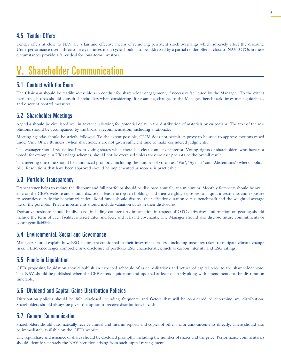### 4.5 Tender Offers

Tender offers at close to NAV are a fair and effective means of removing persistent stock overhangs which adversely affect the discount. Underperformance over a three to five year investment cycle should also be addressed by a partial tender offer at close to NAV. CTOs in these circumstances provide a fairer deal for long-term investors.

# V. Shareholder Communication

### 5.1 Contact with the Board

The Chairman should be readily accessible as a conduit for shareholder engagement, if necessary facilitated by the Manager. To the extent permitted, boards should consult shareholders when considering, for example, changes to the Manager, benchmark, investment guidelines, and discount control measures.

### 5.2 Shareholder Meetings

Agendas should be circulated well in advance, allowing for potential delay in the distribution of materials by custodians. The text of the resolutions should be accompanied by the board's recommendation, including a rationale.

Meeting agendas should be strictly followed. To the extent possible, CLIM does not permit its proxy to be used to approve motions raised under 'Any Other Business', when shareholders are not given sufficient time to make considered judgments.

The Manager should recuse itself from voting shares when there is a clear conflict of interest. Voting rights of shareholders who have not voted, for example in UK savings schemes, should not be exercised unless they are cast pro-rata to the overall result.

The meeting outcome should be announced promptly, including the number of votes cast 'For', 'Against' and 'Abstentions' (where applicable). Resolutions that have been approved should be implemented as soon as is practicable.

### 5.3 Portfolio Transparency

Transparency helps to reduce the discount and full portfolios should be disclosed annually at a minimum. Monthly factsheets should be available on the CEF's website and should disclose at least the top ten holdings and their weights, exposure to illiquid investments and exposure to securities outside the benchmark index. Bond funds should disclose their effective duration versus benchmark and the weighted average life of the portfolio. Private investments should include valuation dates in their disclosures.

Derivative positions should be disclosed, including counterparty information in respect of OTC derivatives. Information on gearing should include the term of each facility, interest rates and fees, and relevant covenants. The Manager should also disclose future commitments or contingent liabilities.

### 5.4 Environmental, Social and Governance

Managers should explain how ESG factors are considered in their investment process, including measures taken to mitigate climate change risks. CLIM encourages comprehensive disclosure of portfolio ESG characteristics, such as carbon intensity and ESG ratings.

### 5.5 Funds in Liquidation

CEFs proposing liquidation should publish an expected schedule of asset realisations and return of capital prior to the shareholder vote. The NAV should be published when the CEF enters liquidation and updated at least quarterly along with amendments to the distribution timetable.

### 5.6 Dividend and Capital Gains Distribution Policies

Distribution policies should be fully disclosed including frequency and factors that will be considered to determine any distribution. Shareholders should always be given the option to receive distributions in cash.

### 5.7 General Communication

Shareholders should automatically receive annual and interim reports and copies of other major announcements directly. These should also be immediately available on the CEF's website.

The repurchase and issuance of shares should be disclosed promptly, including the number of shares and the price. Performance commentaries should identify separately the NAV accretion arising from such capital management.